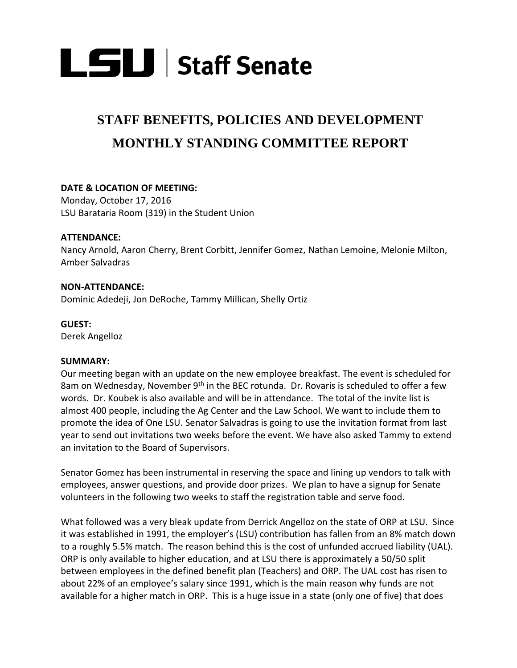

# **STAFF BENEFITS, POLICIES AND DEVELOPMENT MONTHLY STANDING COMMITTEE REPORT**

# **DATE & LOCATION OF MEETING:**

Monday, October 17, 2016 LSU Barataria Room (319) in the Student Union

#### **ATTENDANCE:**

Nancy Arnold, Aaron Cherry, Brent Corbitt, Jennifer Gomez, Nathan Lemoine, Melonie Milton, Amber Salvadras

## **NON-ATTENDANCE:**

Dominic Adedeji, Jon DeRoche, Tammy Millican, Shelly Ortiz

#### **GUEST:**

Derek Angelloz

## **SUMMARY:**

Our meeting began with an update on the new employee breakfast. The event is scheduled for 8am on Wednesday, November 9<sup>th</sup> in the BEC rotunda. Dr. Rovaris is scheduled to offer a few words. Dr. Koubek is also available and will be in attendance. The total of the invite list is almost 400 people, including the Ag Center and the Law School. We want to include them to promote the idea of One LSU. Senator Salvadras is going to use the invitation format from last year to send out invitations two weeks before the event. We have also asked Tammy to extend an invitation to the Board of Supervisors.

Senator Gomez has been instrumental in reserving the space and lining up vendors to talk with employees, answer questions, and provide door prizes. We plan to have a signup for Senate volunteers in the following two weeks to staff the registration table and serve food.

What followed was a very bleak update from Derrick Angelloz on the state of ORP at LSU. Since it was established in 1991, the employer's (LSU) contribution has fallen from an 8% match down to a roughly 5.5% match. The reason behind this is the cost of unfunded accrued liability (UAL). ORP is only available to higher education, and at LSU there is approximately a 50/50 split between employees in the defined benefit plan (Teachers) and ORP. The UAL cost has risen to about 22% of an employee's salary since 1991, which is the main reason why funds are not available for a higher match in ORP. This is a huge issue in a state (only one of five) that does